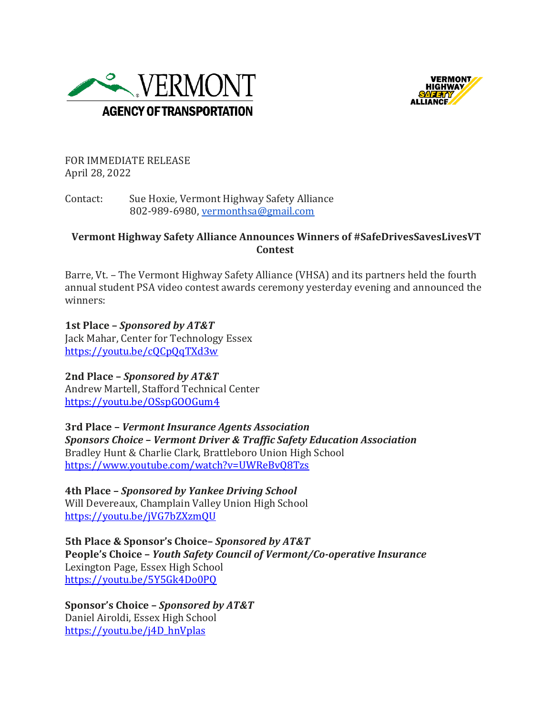



FOR IMMEDIATE RELEASE April 28, 2022

Contact: Sue Hoxie, Vermont Highway Safety Alliance 802-989-6980, [vermonthsa@gmail.com](mailto:vermonthsa@gmail.com)

## **Vermont Highway Safety Alliance Announces Winners of #SafeDrivesSavesLivesVT Contest**

Barre, Vt. – The Vermont Highway Safety Alliance (VHSA) and its partners held the fourth annual student PSA video contest awards ceremony yesterday evening and announced the winners:

**1st Place –** *Sponsored by AT&T* Jack Mahar, Center for Technology Essex <https://youtu.be/cQCpQqTXd3w>

**2nd Place –** *Sponsored by AT&T* Andrew Martell, Stafford Technical Center <https://youtu.be/OSspGOOGum4>

**3rd Place –** *Vermont Insurance Agents Association Sponsors Choice – Vermont Driver & Traffic Safety Education Association* Bradley Hunt & Charlie Clark, Brattleboro Union High School <https://www.youtube.com/watch?v=UWReBvQ8Tzs>

**4th Place –** *Sponsored by Yankee Driving School* Will Devereaux, Champlain Valley Union High School <https://youtu.be/jVG7bZXzmQU>

**5th Place & Sponsor's Choice–** *Sponsored by AT&T* **People's Choice –** *Youth Safety Council of Vermont/Co-operative Insurance* Lexington Page, Essex High School <https://youtu.be/5Y5Gk4Do0PQ>

**Sponsor's Choice –** *Sponsored by AT&T* Daniel Airoldi, Essex High School [https://youtu.be/j4D\\_hnVplas](https://youtu.be/j4D_hnVplas)